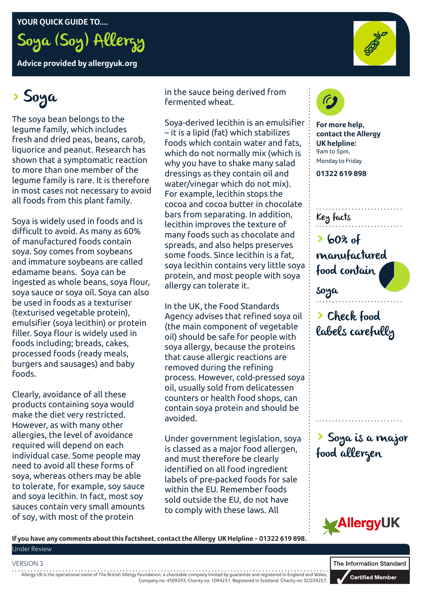**YOUR QUICK GUIDE TO....**



**Advice provided by allergyuk.org**

# > Soya

The soya bean belongs to the legume family, which includes fresh and dried peas, beans, carob, liquorice and peanut. Research has shown that a symptomatic reaction to more than one member of the legume family is rare. It is therefore in most cases not necessary to avoid all foods from this plant family.

Soya is widely used in foods and is difficult to avoid. As many as 60% of manufactured foods contain soya. Soy comes from soybeans and immature soybeans are called edamame beans. Soya can be ingested as whole beans, soya flour, soya sauce or soya oil. Soya can also be used in foods as a texturiser (texturised vegetable protein), emulsifier (soya lecithin) or protein filler. Soya flour is widely used in foods including; breads, cakes, processed foods (ready meals, burgers and sausages) and baby foods.

Clearly, avoidance of all these products containing soya would make the diet very restricted. However, as with many other allergies, the level of avoidance required will depend on each individual case. Some people may need to avoid all these forms of soya, whereas others may be able to tolerate, for example, soy sauce and soya lecithin. In fact, most soy sauces contain very small amounts of soy, with most of the protein

in the sauce being derived from fermented wheat.

Soya-derived lecithin is an emulsifier – it is a lipid (fat) which stabilizes foods which contain water and fats, which do not normally mix (which is why you have to shake many salad dressings as they contain oil and water/vinegar which do not mix). For example, lecithin stops the cocoa and cocoa butter in chocolate bars from separating. In addition, lecithin improves the texture of many foods such as chocolate and spreads, and also helps preserves some foods. Since lecithin is a fat, soya lecithin contains very little soya protein, and most people with soya allergy can tolerate it.

In the UK, the Food Standards Agency advises that refined soya oil (the main component of vegetable oil) should be safe for people with soya allergy, because the proteins that cause allergic reactions are removed during the refining process. However, cold-pressed soya oil, usually sold from delicatessen counters or health food shops, can contain soya protein and should be avoided.

Under government legislation, soya is classed as a major food allergen, and must therefore be clearly identified on all food ingredient labels of pre-packed foods for sale within the EU. Remember foods sold outside the EU, do not have to comply with these laws. All



**For more help, contact the Allergy UK helpline:** 9am to 5pm, Monday to Friday

**01322 619 898**

Key facts

soya

> 60% of manufactured food contain

> Check food labels carefully

> Soya is a major food allergen



**If you have any comments about this factsheet, contact the Allergy UK Helpline - 01322 619 898.** Under Review

#### VERSION 3

Allergy UK is the operational name of The British Allergy Foundation, a charitable company limited by guarantee and registered in England and Wales, Company no: 4509293, Charity no: 1094231. Registered in Scotland. Charity no: SCO39257.

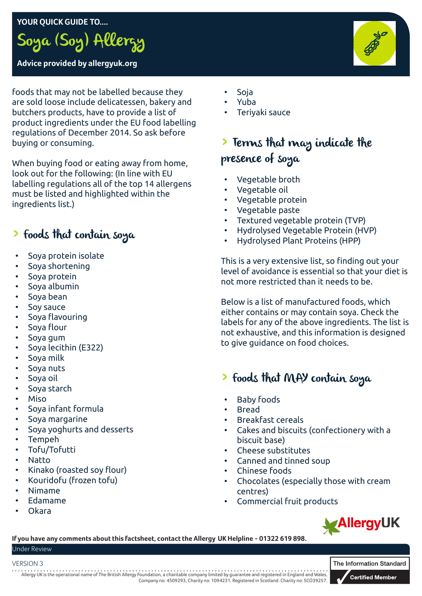## **YOUR QUICK GUIDE TO....**



# **Advice provided by allergyuk.org**

foods that may not be labelled because they are sold loose include delicatessen, bakery and butchers products, have to provide a list of product ingredients under the EU food labelling regulations of December 2014. So ask before buying or consuming.

When buying food or eating away from home, look out for the following: (In line with EU labelling regulations all of the top 14 allergens must be listed and highlighted within the ingredients list.)

# > Foods that contain soya

- Soya protein isolate
- Soya shortening
- Soya protein
- Soya albumin
- Soya bean
- Soy sauce
- Soya flavouring
- Soya flour
- Soya gum
- Soya lecithin (E322)
- Soya milk
- Sova nuts
- Soya oil
- Soya starch
- Miso
- Soya infant formula
- Soya margarine
- Soya yoghurts and desserts
- Tempeh
- Tofu/Tofutti
- Natto
- Kinako (roasted soy flour)
- Kouridofu (frozen tofu)
- Nimame
- Edamame
- Okara
- Soja
- Yuba
- Teriyaki sauce

# > Terms that may indicate the presence of soya

- Vegetable broth
- Vegetable oil
- Vegetable protein
- Vegetable paste
- Textured vegetable protein (TVP)
- Hydrolysed Vegetable Protein (HVP)
- Hydrolysed Plant Proteins (HPP)

This is a very extensive list, so finding out your level of avoidance is essential so that your diet is not more restricted than it needs to be.

Below is a list of manufactured foods, which either contains or may contain soya. Check the labels for any of the above ingredients. The list is not exhaustive, and this information is designed to give guidance on food choices.

# > Foods that MAY contain soya

- **Baby foods**
- Bread
- Breakfast cereals
- Cakes and biscuits (confectionery with a biscuit base)
- Cheese substitutes
- Canned and tinned soup
- Chinese foods
- Chocolates (especially those with cream centres)
- Commercial fruit products



**If you have any comments about this factsheet, contact the Allergy UK Helpline - 01322 619 898.** Under Review

#### VERSION 3

Allergy UK is the operational name of The British Allergy Foundation, a charitable company limited by guarantee and registered in England and Wales, Company no: 4509293, Charity no: 1094231. Registered in Scotland. Charity no: SCO39257.